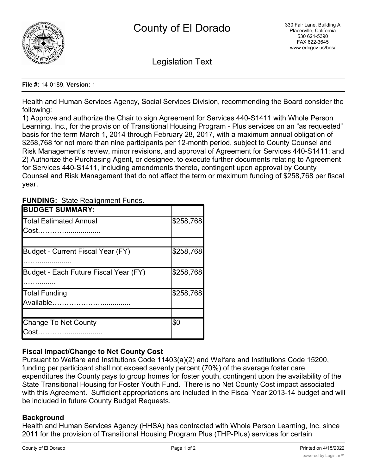

Legislation Text

#### **File #:** 14-0189, **Version:** 1

Health and Human Services Agency, Social Services Division, recommending the Board consider the following:

1) Approve and authorize the Chair to sign Agreement for Services 440-S1411 with Whole Person Learning, Inc., for the provision of Transitional Housing Program - Plus services on an "as requested" basis for the term March 1, 2014 through February 28, 2017, with a maximum annual obligation of \$258,768 for not more than nine participants per 12-month period, subject to County Counsel and Risk Management's review, minor revisions, and approval of Agreement for Services 440-S1411; and 2) Authorize the Purchasing Agent, or designee, to execute further documents relating to Agreement for Services 440-S1411, including amendments thereto, contingent upon approval by County Counsel and Risk Management that do not affect the term or maximum funding of \$258,768 per fiscal year.

|  | <b>FUNDING: State Realignment Funds.</b> |
|--|------------------------------------------|
|--|------------------------------------------|

| <b>BUDGET SUMMARY:</b>                |           |
|---------------------------------------|-----------|
| Total Estimated Annual                | \$258,768 |
| Cost                                  |           |
|                                       |           |
| Budget - Current Fiscal Year (FY)     | \$258,768 |
| Budget - Each Future Fiscal Year (FY) | \$258,768 |
| Total Funding                         | \$258,768 |
| Available                             |           |
|                                       |           |
| Change To Net County                  | l\$0      |
| Cost.                                 |           |

# **Fiscal Impact/Change to Net County Cost**

Pursuant to Welfare and Institutions Code 11403(a)(2) and Welfare and Institutions Code 15200, funding per participant shall not exceed seventy percent (70%) of the average foster care expenditures the County pays to group homes for foster youth, contingent upon the availability of the State Transitional Housing for Foster Youth Fund. There is no Net County Cost impact associated with this Agreement. Sufficient appropriations are included in the Fiscal Year 2013-14 budget and will be included in future County Budget Requests.

# **Background**

Health and Human Services Agency (HHSA) has contracted with Whole Person Learning, Inc. since 2011 for the provision of Transitional Housing Program Plus (THP-Plus) services for certain